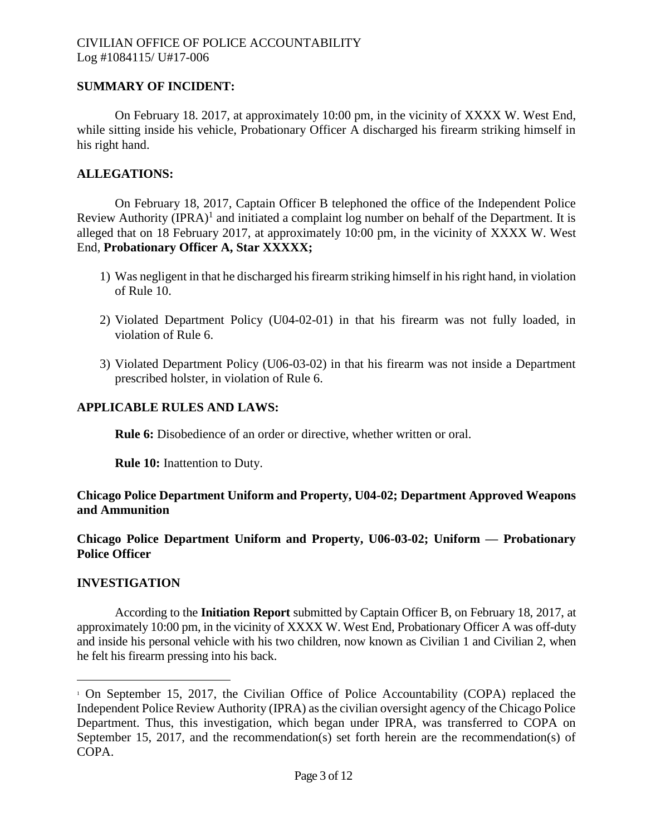# **SUMMARY OF INCIDENT:**

On February 18. 2017, at approximately 10:00 pm, in the vicinity of XXXX W. West End, while sitting inside his vehicle, Probationary Officer A discharged his firearm striking himself in his right hand.

# **ALLEGATIONS:**

On February 18, 2017, Captain Officer B telephoned the office of the Independent Police Review Authority (IPRA)<sup>1</sup> and initiated a complaint log number on behalf of the Department. It is alleged that on 18 February 2017, at approximately 10:00 pm, in the vicinity of XXXX W. West End, **Probationary Officer A, Star XXXXX;**

- 1) Was negligent in that he discharged his firearm striking himself in his right hand, in violation of Rule 10.
- 2) Violated Department Policy (U04-02-01) in that his firearm was not fully loaded, in violation of Rule 6.
- 3) Violated Department Policy (U06-03-02) in that his firearm was not inside a Department prescribed holster, in violation of Rule 6.

## **APPLICABLE RULES AND LAWS:**

**Rule 6:** Disobedience of an order or directive, whether written or oral.

**Rule 10:** Inattention to Duty.

## **Chicago Police Department Uniform and Property, U04-02; Department Approved Weapons and Ammunition**

**Chicago Police Department Uniform and Property, U06-03-02; Uniform — Probationary Police Officer**

#### **INVESTIGATION**

According to the **Initiation Report** submitted by Captain Officer B, on February 18, 2017, at approximately 10:00 pm, in the vicinity of XXXX W. West End, Probationary Officer A was off-duty and inside his personal vehicle with his two children, now known as Civilian 1 and Civilian 2, when he felt his firearm pressing into his back.

<sup>1</sup> On September 15, 2017, the Civilian Office of Police Accountability (COPA) replaced the Independent Police Review Authority (IPRA) as the civilian oversight agency of the Chicago Police Department. Thus, this investigation, which began under IPRA, was transferred to COPA on September 15, 2017, and the recommendation(s) set forth herein are the recommendation(s) of COPA.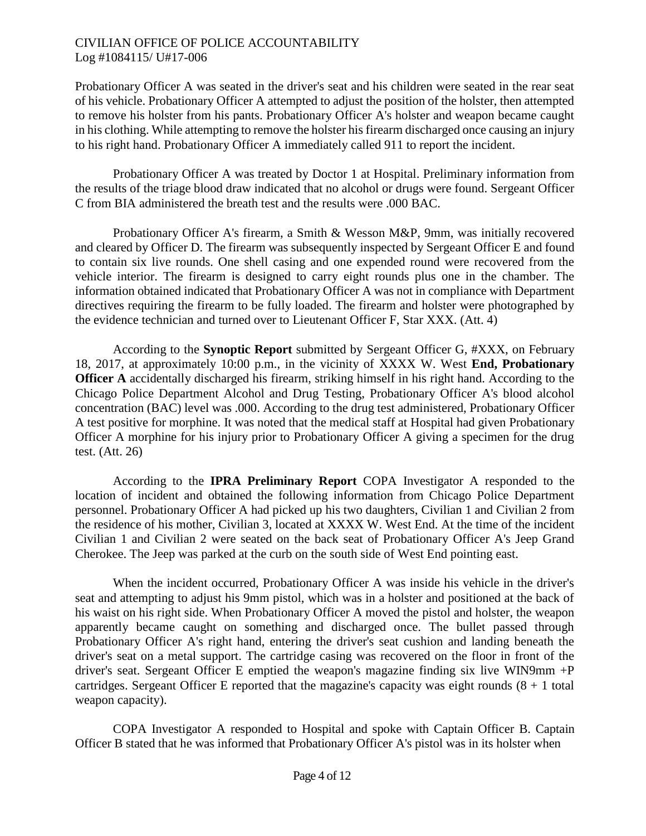Probationary Officer A was seated in the driver's seat and his children were seated in the rear seat of his vehicle. Probationary Officer A attempted to adjust the position of the holster, then attempted to remove his holster from his pants. Probationary Officer A's holster and weapon became caught in his clothing. While attempting to remove the holster his firearm discharged once causing an injury to his right hand. Probationary Officer A immediately called 911 to report the incident.

Probationary Officer A was treated by Doctor 1 at Hospital. Preliminary information from the results of the triage blood draw indicated that no alcohol or drugs were found. Sergeant Officer C from BIA administered the breath test and the results were .000 BAC.

Probationary Officer A's firearm, a Smith & Wesson M&P, 9mm, was initially recovered and cleared by Officer D. The firearm was subsequently inspected by Sergeant Officer E and found to contain six live rounds. One shell casing and one expended round were recovered from the vehicle interior. The firearm is designed to carry eight rounds plus one in the chamber. The information obtained indicated that Probationary Officer A was not in compliance with Department directives requiring the firearm to be fully loaded. The firearm and holster were photographed by the evidence technician and turned over to Lieutenant Officer F, Star XXX. (Att. 4)

According to the **Synoptic Report** submitted by Sergeant Officer G, #XXX, on February 18, 2017, at approximately 10:00 p.m., in the vicinity of XXXX W. West **End, Probationary Officer A** accidentally discharged his firearm, striking himself in his right hand. According to the Chicago Police Department Alcohol and Drug Testing, Probationary Officer A's blood alcohol concentration (BAC) level was .000. According to the drug test administered, Probationary Officer A test positive for morphine. It was noted that the medical staff at Hospital had given Probationary Officer A morphine for his injury prior to Probationary Officer A giving a specimen for the drug test. (Att. 26)

According to the **IPRA Preliminary Report** COPA Investigator A responded to the location of incident and obtained the following information from Chicago Police Department personnel. Probationary Officer A had picked up his two daughters, Civilian 1 and Civilian 2 from the residence of his mother, Civilian 3, located at XXXX W. West End. At the time of the incident Civilian 1 and Civilian 2 were seated on the back seat of Probationary Officer A's Jeep Grand Cherokee. The Jeep was parked at the curb on the south side of West End pointing east.

When the incident occurred, Probationary Officer A was inside his vehicle in the driver's seat and attempting to adjust his 9mm pistol, which was in a holster and positioned at the back of his waist on his right side. When Probationary Officer A moved the pistol and holster, the weapon apparently became caught on something and discharged once. The bullet passed through Probationary Officer A's right hand, entering the driver's seat cushion and landing beneath the driver's seat on a metal support. The cartridge casing was recovered on the floor in front of the driver's seat. Sergeant Officer E emptied the weapon's magazine finding six live WIN9mm +P cartridges. Sergeant Officer E reported that the magazine's capacity was eight rounds  $(8 + 1)$  total weapon capacity).

COPA Investigator A responded to Hospital and spoke with Captain Officer B. Captain Officer B stated that he was informed that Probationary Officer A's pistol was in its holster when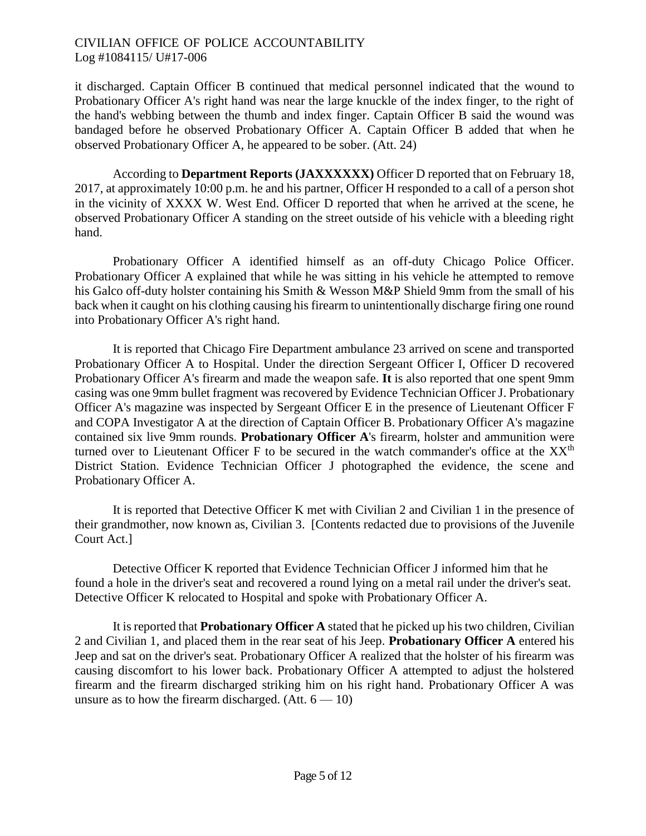it discharged. Captain Officer B continued that medical personnel indicated that the wound to Probationary Officer A's right hand was near the large knuckle of the index finger, to the right of the hand's webbing between the thumb and index finger. Captain Officer B said the wound was bandaged before he observed Probationary Officer A. Captain Officer B added that when he observed Probationary Officer A, he appeared to be sober. (Att. 24)

According to **Department Reports (JAXXXXXX)** Officer D reported that on February 18, 2017, at approximately 10:00 p.m. he and his partner, Officer H responded to a call of a person shot in the vicinity of XXXX W. West End. Officer D reported that when he arrived at the scene, he observed Probationary Officer A standing on the street outside of his vehicle with a bleeding right hand.

Probationary Officer A identified himself as an off-duty Chicago Police Officer. Probationary Officer A explained that while he was sitting in his vehicle he attempted to remove his Galco off-duty holster containing his Smith & Wesson M&P Shield 9mm from the small of his back when it caught on his clothing causing his firearm to unintentionally discharge firing one round into Probationary Officer A's right hand.

It is reported that Chicago Fire Department ambulance 23 arrived on scene and transported Probationary Officer A to Hospital. Under the direction Sergeant Officer I, Officer D recovered Probationary Officer A's firearm and made the weapon safe. **It** is also reported that one spent 9mm casing was one 9mm bullet fragment was recovered by Evidence Technician Officer J. Probationary Officer A's magazine was inspected by Sergeant Officer E in the presence of Lieutenant Officer F and COPA Investigator A at the direction of Captain Officer B. Probationary Officer A's magazine contained six live 9mm rounds. **Probationary Officer A**'s firearm, holster and ammunition were turned over to Lieutenant Officer F to be secured in the watch commander's office at the  $XX<sup>th</sup>$ District Station. Evidence Technician Officer J photographed the evidence, the scene and Probationary Officer A.

It is reported that Detective Officer K met with Civilian 2 and Civilian 1 in the presence of their grandmother, now known as, Civilian 3. [Contents redacted due to provisions of the Juvenile Court Act.]

Detective Officer K reported that Evidence Technician Officer J informed him that he found a hole in the driver's seat and recovered a round lying on a metal rail under the driver's seat. Detective Officer K relocated to Hospital and spoke with Probationary Officer A.

It is reported that **Probationary Officer A** stated that he picked up his two children, Civilian 2 and Civilian 1, and placed them in the rear seat of his Jeep. **Probationary Officer A** entered his Jeep and sat on the driver's seat. Probationary Officer A realized that the holster of his firearm was causing discomfort to his lower back. Probationary Officer A attempted to adjust the holstered firearm and the firearm discharged striking him on his right hand. Probationary Officer A was unsure as to how the firearm discharged.  $(Att. 6 - 10)$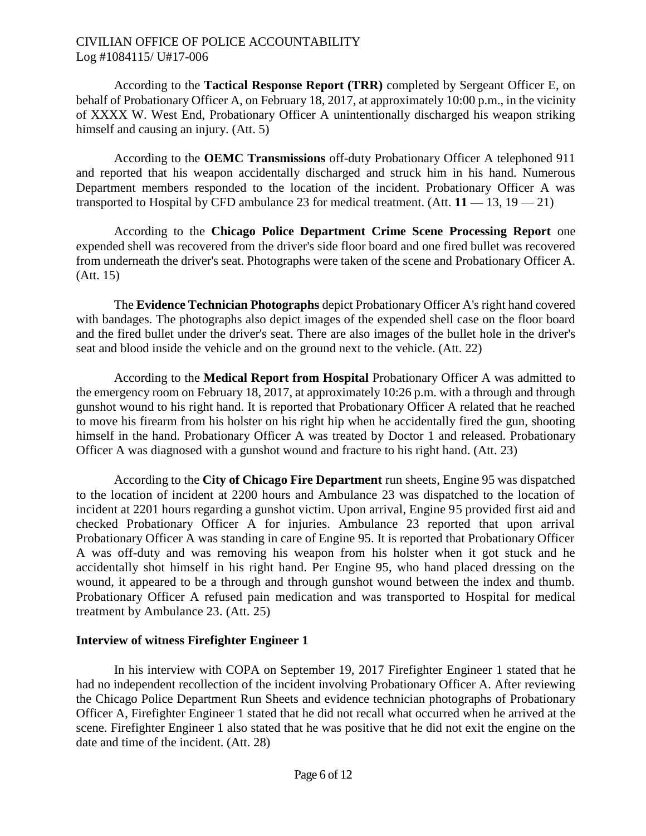According to the **Tactical Response Report (TRR)** completed by Sergeant Officer E, on behalf of Probationary Officer A, on February 18, 2017, at approximately 10:00 p.m., in the vicinity of XXXX W. West End, Probationary Officer A unintentionally discharged his weapon striking himself and causing an injury. (Att. 5)

According to the **OEMC Transmissions** off-duty Probationary Officer A telephoned 911 and reported that his weapon accidentally discharged and struck him in his hand. Numerous Department members responded to the location of the incident. Probationary Officer A was transported to Hospital by CFD ambulance 23 for medical treatment. (Att. **11 —** 13, 19 — 21)

According to the **Chicago Police Department Crime Scene Processing Report** one expended shell was recovered from the driver's side floor board and one fired bullet was recovered from underneath the driver's seat. Photographs were taken of the scene and Probationary Officer A. (Att. 15)

The **Evidence Technician Photographs** depict Probationary Officer A's right hand covered with bandages. The photographs also depict images of the expended shell case on the floor board and the fired bullet under the driver's seat. There are also images of the bullet hole in the driver's seat and blood inside the vehicle and on the ground next to the vehicle. (Att. 22)

According to the **Medical Report from Hospital** Probationary Officer A was admitted to the emergency room on February 18, 2017, at approximately 10:26 p.m. with a through and through gunshot wound to his right hand. It is reported that Probationary Officer A related that he reached to move his firearm from his holster on his right hip when he accidentally fired the gun, shooting himself in the hand. Probationary Officer A was treated by Doctor 1 and released. Probationary Officer A was diagnosed with a gunshot wound and fracture to his right hand. (Att. 23)

According to the **City of Chicago Fire Department** run sheets, Engine 95 was dispatched to the location of incident at 2200 hours and Ambulance 23 was dispatched to the location of incident at 2201 hours regarding a gunshot victim. Upon arrival, Engine 95 provided first aid and checked Probationary Officer A for injuries. Ambulance 23 reported that upon arrival Probationary Officer A was standing in care of Engine 95. It is reported that Probationary Officer A was off-duty and was removing his weapon from his holster when it got stuck and he accidentally shot himself in his right hand. Per Engine 95, who hand placed dressing on the wound, it appeared to be a through and through gunshot wound between the index and thumb. Probationary Officer A refused pain medication and was transported to Hospital for medical treatment by Ambulance 23. (Att. 25)

#### **Interview of witness Firefighter Engineer 1**

In his interview with COPA on September 19, 2017 Firefighter Engineer 1 stated that he had no independent recollection of the incident involving Probationary Officer A. After reviewing the Chicago Police Department Run Sheets and evidence technician photographs of Probationary Officer A, Firefighter Engineer 1 stated that he did not recall what occurred when he arrived at the scene. Firefighter Engineer 1 also stated that he was positive that he did not exit the engine on the date and time of the incident. (Att. 28)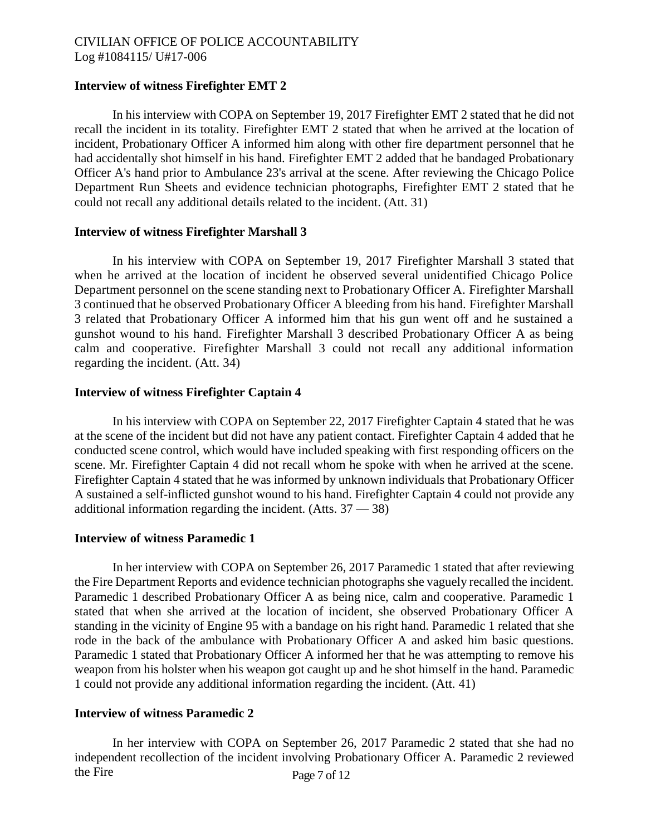# **Interview of witness Firefighter EMT 2**

In his interview with COPA on September 19, 2017 Firefighter EMT 2 stated that he did not recall the incident in its totality. Firefighter EMT 2 stated that when he arrived at the location of incident, Probationary Officer A informed him along with other fire department personnel that he had accidentally shot himself in his hand. Firefighter EMT 2 added that he bandaged Probationary Officer A's hand prior to Ambulance 23's arrival at the scene. After reviewing the Chicago Police Department Run Sheets and evidence technician photographs, Firefighter EMT 2 stated that he could not recall any additional details related to the incident. (Att. 31)

#### **Interview of witness Firefighter Marshall 3**

In his interview with COPA on September 19, 2017 Firefighter Marshall 3 stated that when he arrived at the location of incident he observed several unidentified Chicago Police Department personnel on the scene standing next to Probationary Officer A. Firefighter Marshall 3 continued that he observed Probationary Officer A bleeding from his hand. Firefighter Marshall 3 related that Probationary Officer A informed him that his gun went off and he sustained a gunshot wound to his hand. Firefighter Marshall 3 described Probationary Officer A as being calm and cooperative. Firefighter Marshall 3 could not recall any additional information regarding the incident. (Att. 34)

#### **Interview of witness Firefighter Captain 4**

In his interview with COPA on September 22, 2017 Firefighter Captain 4 stated that he was at the scene of the incident but did not have any patient contact. Firefighter Captain 4 added that he conducted scene control, which would have included speaking with first responding officers on the scene. Mr. Firefighter Captain 4 did not recall whom he spoke with when he arrived at the scene. Firefighter Captain 4 stated that he was informed by unknown individuals that Probationary Officer A sustained a self-inflicted gunshot wound to his hand. Firefighter Captain 4 could not provide any additional information regarding the incident.  $(A$ tts.  $37 - 38)$ 

#### **Interview of witness Paramedic 1**

In her interview with COPA on September 26, 2017 Paramedic 1 stated that after reviewing the Fire Department Reports and evidence technician photographs she vaguely recalled the incident. Paramedic 1 described Probationary Officer A as being nice, calm and cooperative. Paramedic 1 stated that when she arrived at the location of incident, she observed Probationary Officer A standing in the vicinity of Engine 95 with a bandage on his right hand. Paramedic 1 related that she rode in the back of the ambulance with Probationary Officer A and asked him basic questions. Paramedic 1 stated that Probationary Officer A informed her that he was attempting to remove his weapon from his holster when his weapon got caught up and he shot himself in the hand. Paramedic 1 could not provide any additional information regarding the incident. (Att. 41)

#### **Interview of witness Paramedic 2**

In her interview with COPA on September 26, 2017 Paramedic 2 stated that she had no independent recollection of the incident involving Probationary Officer A. Paramedic 2 reviewed the Fire Page 7 of 12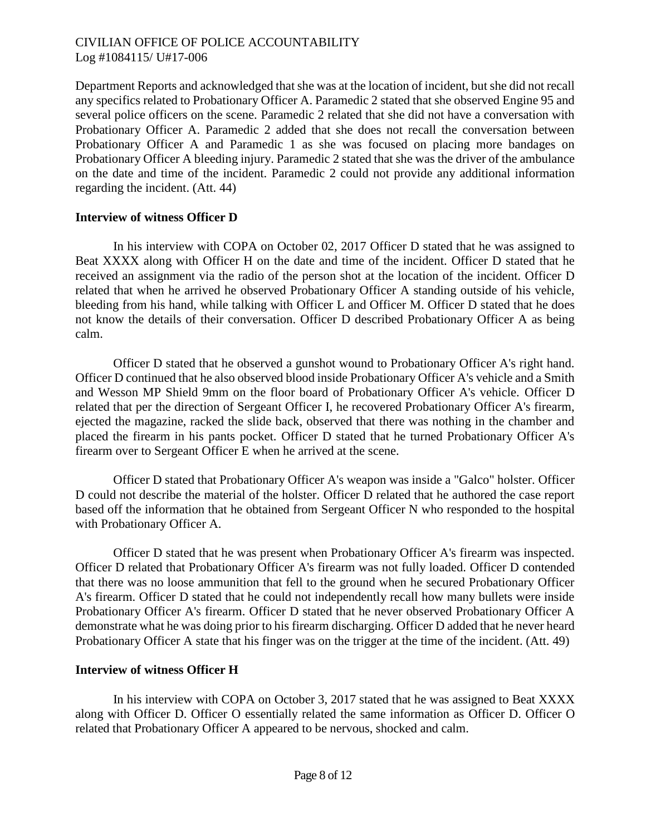Department Reports and acknowledged that she was at the location of incident, but she did not recall any specifics related to Probationary Officer A. Paramedic 2 stated that she observed Engine 95 and several police officers on the scene. Paramedic 2 related that she did not have a conversation with Probationary Officer A. Paramedic 2 added that she does not recall the conversation between Probationary Officer A and Paramedic 1 as she was focused on placing more bandages on Probationary Officer A bleeding injury. Paramedic 2 stated that she was the driver of the ambulance on the date and time of the incident. Paramedic 2 could not provide any additional information regarding the incident. (Att. 44)

#### **Interview of witness Officer D**

In his interview with COPA on October 02, 2017 Officer D stated that he was assigned to Beat XXXX along with Officer H on the date and time of the incident. Officer D stated that he received an assignment via the radio of the person shot at the location of the incident. Officer D related that when he arrived he observed Probationary Officer A standing outside of his vehicle, bleeding from his hand, while talking with Officer L and Officer M. Officer D stated that he does not know the details of their conversation. Officer D described Probationary Officer A as being calm.

Officer D stated that he observed a gunshot wound to Probationary Officer A's right hand. Officer D continued that he also observed blood inside Probationary Officer A's vehicle and a Smith and Wesson MP Shield 9mm on the floor board of Probationary Officer A's vehicle. Officer D related that per the direction of Sergeant Officer I, he recovered Probationary Officer A's firearm, ejected the magazine, racked the slide back, observed that there was nothing in the chamber and placed the firearm in his pants pocket. Officer D stated that he turned Probationary Officer A's firearm over to Sergeant Officer E when he arrived at the scene.

Officer D stated that Probationary Officer A's weapon was inside a "Galco" holster. Officer D could not describe the material of the holster. Officer D related that he authored the case report based off the information that he obtained from Sergeant Officer N who responded to the hospital with Probationary Officer A.

Officer D stated that he was present when Probationary Officer A's firearm was inspected. Officer D related that Probationary Officer A's firearm was not fully loaded. Officer D contended that there was no loose ammunition that fell to the ground when he secured Probationary Officer A's firearm. Officer D stated that he could not independently recall how many bullets were inside Probationary Officer A's firearm. Officer D stated that he never observed Probationary Officer A demonstrate what he was doing prior to his firearm discharging. Officer D added that he never heard Probationary Officer A state that his finger was on the trigger at the time of the incident. (Att. 49)

# **Interview of witness Officer H**

In his interview with COPA on October 3, 2017 stated that he was assigned to Beat XXXX along with Officer D. Officer O essentially related the same information as Officer D. Officer O related that Probationary Officer A appeared to be nervous, shocked and calm.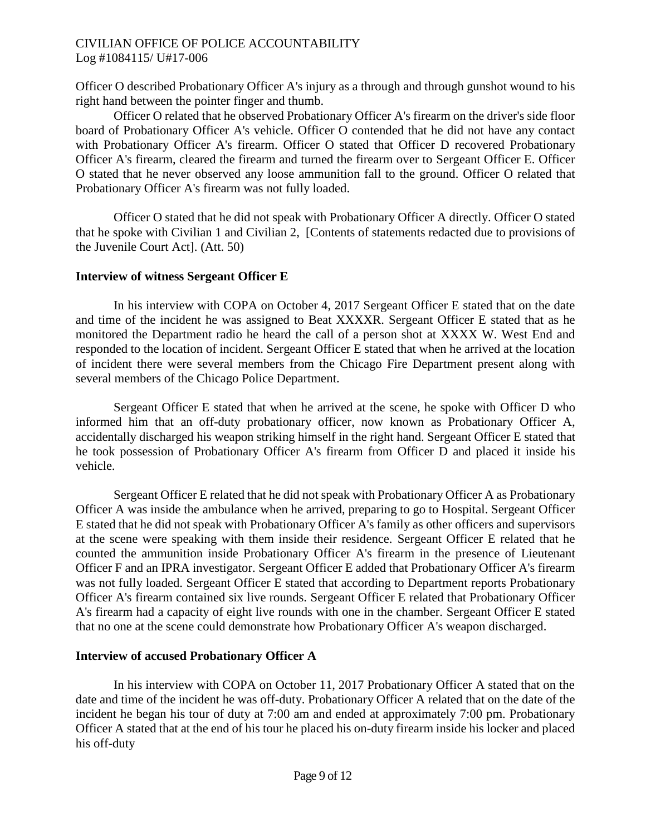Officer O described Probationary Officer A's injury as a through and through gunshot wound to his right hand between the pointer finger and thumb.

Officer O related that he observed Probationary Officer A's firearm on the driver's side floor board of Probationary Officer A's vehicle. Officer O contended that he did not have any contact with Probationary Officer A's firearm. Officer O stated that Officer D recovered Probationary Officer A's firearm, cleared the firearm and turned the firearm over to Sergeant Officer E. Officer O stated that he never observed any loose ammunition fall to the ground. Officer O related that Probationary Officer A's firearm was not fully loaded.

Officer O stated that he did not speak with Probationary Officer A directly. Officer O stated that he spoke with Civilian 1 and Civilian 2, [Contents of statements redacted due to provisions of the Juvenile Court Act]. (Att. 50)

## **Interview of witness Sergeant Officer E**

In his interview with COPA on October 4, 2017 Sergeant Officer E stated that on the date and time of the incident he was assigned to Beat XXXXR. Sergeant Officer E stated that as he monitored the Department radio he heard the call of a person shot at XXXX W. West End and responded to the location of incident. Sergeant Officer E stated that when he arrived at the location of incident there were several members from the Chicago Fire Department present along with several members of the Chicago Police Department.

Sergeant Officer E stated that when he arrived at the scene, he spoke with Officer D who informed him that an off-duty probationary officer, now known as Probationary Officer A, accidentally discharged his weapon striking himself in the right hand. Sergeant Officer E stated that he took possession of Probationary Officer A's firearm from Officer D and placed it inside his vehicle.

Sergeant Officer E related that he did not speak with Probationary Officer A as Probationary Officer A was inside the ambulance when he arrived, preparing to go to Hospital. Sergeant Officer E stated that he did not speak with Probationary Officer A's family as other officers and supervisors at the scene were speaking with them inside their residence. Sergeant Officer E related that he counted the ammunition inside Probationary Officer A's firearm in the presence of Lieutenant Officer F and an IPRA investigator. Sergeant Officer E added that Probationary Officer A's firearm was not fully loaded. Sergeant Officer E stated that according to Department reports Probationary Officer A's firearm contained six live rounds. Sergeant Officer E related that Probationary Officer A's firearm had a capacity of eight live rounds with one in the chamber. Sergeant Officer E stated that no one at the scene could demonstrate how Probationary Officer A's weapon discharged.

# **Interview of accused Probationary Officer A**

In his interview with COPA on October 11, 2017 Probationary Officer A stated that on the date and time of the incident he was off-duty. Probationary Officer A related that on the date of the incident he began his tour of duty at 7:00 am and ended at approximately 7:00 pm. Probationary Officer A stated that at the end of his tour he placed his on-duty firearm inside his locker and placed his off-duty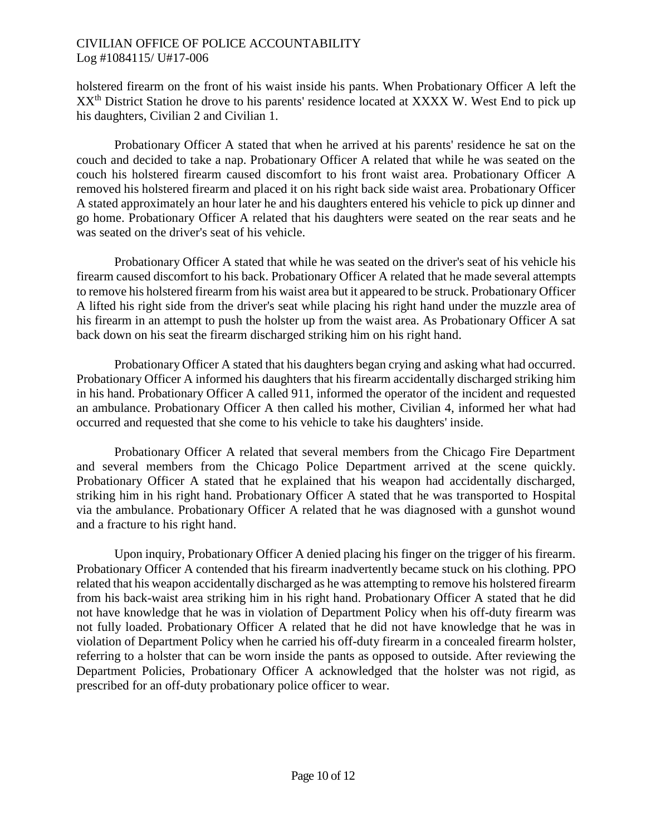holstered firearm on the front of his waist inside his pants. When Probationary Officer A left the XX<sup>th</sup> District Station he drove to his parents' residence located at XXXX W. West End to pick up his daughters, Civilian 2 and Civilian 1.

Probationary Officer A stated that when he arrived at his parents' residence he sat on the couch and decided to take a nap. Probationary Officer A related that while he was seated on the couch his holstered firearm caused discomfort to his front waist area. Probationary Officer A removed his holstered firearm and placed it on his right back side waist area. Probationary Officer A stated approximately an hour later he and his daughters entered his vehicle to pick up dinner and go home. Probationary Officer A related that his daughters were seated on the rear seats and he was seated on the driver's seat of his vehicle.

Probationary Officer A stated that while he was seated on the driver's seat of his vehicle his firearm caused discomfort to his back. Probationary Officer A related that he made several attempts to remove his holstered firearm from his waist area but it appeared to be struck. Probationary Officer A lifted his right side from the driver's seat while placing his right hand under the muzzle area of his firearm in an attempt to push the holster up from the waist area. As Probationary Officer A sat back down on his seat the firearm discharged striking him on his right hand.

Probationary Officer A stated that his daughters began crying and asking what had occurred. Probationary Officer A informed his daughters that his firearm accidentally discharged striking him in his hand. Probationary Officer A called 911, informed the operator of the incident and requested an ambulance. Probationary Officer A then called his mother, Civilian 4, informed her what had occurred and requested that she come to his vehicle to take his daughters' inside.

Probationary Officer A related that several members from the Chicago Fire Department and several members from the Chicago Police Department arrived at the scene quickly. Probationary Officer A stated that he explained that his weapon had accidentally discharged, striking him in his right hand. Probationary Officer A stated that he was transported to Hospital via the ambulance. Probationary Officer A related that he was diagnosed with a gunshot wound and a fracture to his right hand.

Upon inquiry, Probationary Officer A denied placing his finger on the trigger of his firearm. Probationary Officer A contended that his firearm inadvertently became stuck on his clothing. PPO related that his weapon accidentally discharged as he was attempting to remove his holstered firearm from his back-waist area striking him in his right hand. Probationary Officer A stated that he did not have knowledge that he was in violation of Department Policy when his off-duty firearm was not fully loaded. Probationary Officer A related that he did not have knowledge that he was in violation of Department Policy when he carried his off-duty firearm in a concealed firearm holster, referring to a holster that can be worn inside the pants as opposed to outside. After reviewing the Department Policies, Probationary Officer A acknowledged that the holster was not rigid, as prescribed for an off-duty probationary police officer to wear.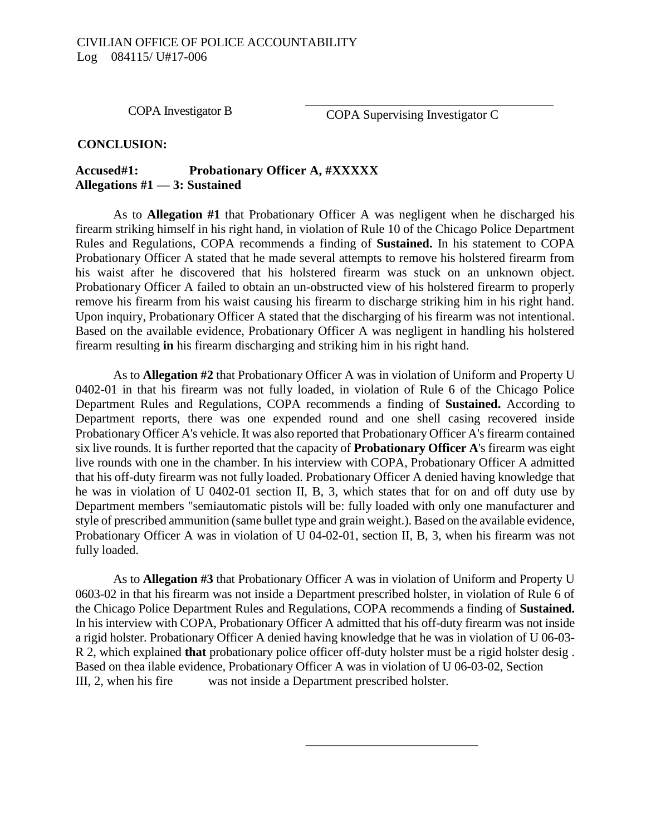COPA Investigator B

COPA Supervising Investigator C

#### **CONCLUSION:**

### **Accused#1: Probationary Officer A, #XXXXX Allegations #1 — 3: Sustained**

As to **Allegation #1** that Probationary Officer A was negligent when he discharged his firearm striking himself in his right hand, in violation of Rule 10 of the Chicago Police Department Rules and Regulations, COPA recommends a finding of **Sustained.** In his statement to COPA Probationary Officer A stated that he made several attempts to remove his holstered firearm from his waist after he discovered that his holstered firearm was stuck on an unknown object. Probationary Officer A failed to obtain an un-obstructed view of his holstered firearm to properly remove his firearm from his waist causing his firearm to discharge striking him in his right hand. Upon inquiry, Probationary Officer A stated that the discharging of his firearm was not intentional. Based on the available evidence, Probationary Officer A was negligent in handling his holstered firearm resulting **in** his firearm discharging and striking him in his right hand.

As to **Allegation #2** that Probationary Officer A was in violation of Uniform and Property U 0402-01 in that his firearm was not fully loaded, in violation of Rule 6 of the Chicago Police Department Rules and Regulations, COPA recommends a finding of **Sustained.** According to Department reports, there was one expended round and one shell casing recovered inside Probationary Officer A's vehicle. It was also reported that Probationary Officer A's firearm contained six live rounds. It is further reported that the capacity of **Probationary Officer A**'s firearm was eight live rounds with one in the chamber. In his interview with COPA, Probationary Officer A admitted that his off-duty firearm was not fully loaded. Probationary Officer A denied having knowledge that he was in violation of U 0402-01 section II, B, 3, which states that for on and off duty use by Department members "semiautomatic pistols will be: fully loaded with only one manufacturer and style of prescribed ammunition (same bullet type and grain weight.). Based on the available evidence, Probationary Officer A was in violation of U 04-02-01, section II, B, 3, when his firearm was not fully loaded.

As to **Allegation #3** that Probationary Officer A was in violation of Uniform and Property U 0603-02 in that his firearm was not inside a Department prescribed holster, in violation of Rule 6 of the Chicago Police Department Rules and Regulations, COPA recommends a finding of **Sustained.**  In his interview with COPA, Probationary Officer A admitted that his off-duty firearm was not inside a rigid holster. Probationary Officer A denied having knowledge that he was in violation of U 06-03- R 2, which explained **that** probationary police officer off-duty holster must be a rigid holster desig . Based on thea ilable evidence, Probationary Officer A was in violation of U 06-03-02, Section III, 2, when his fire was not inside a Department prescribed holster.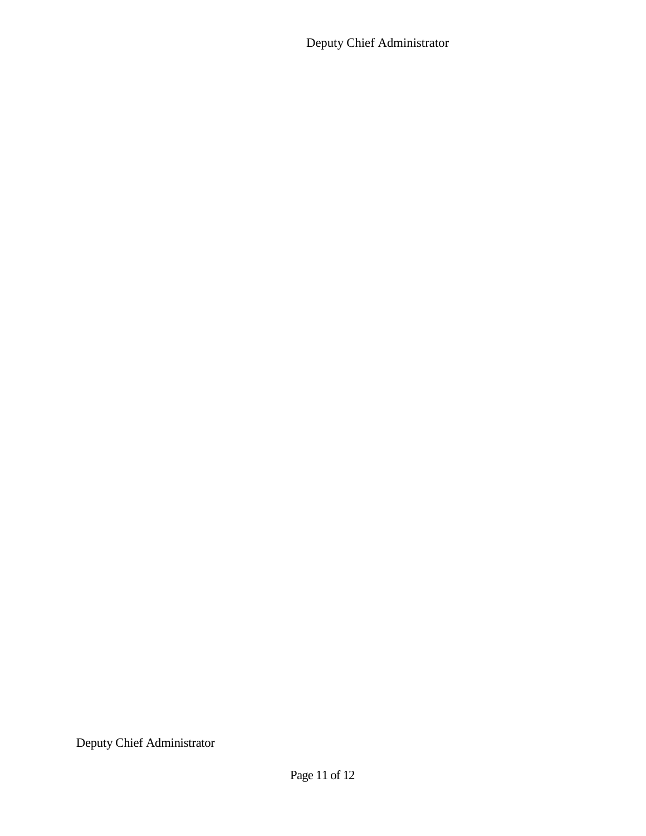Deputy Chief Administrator

Deputy Chief Administrator